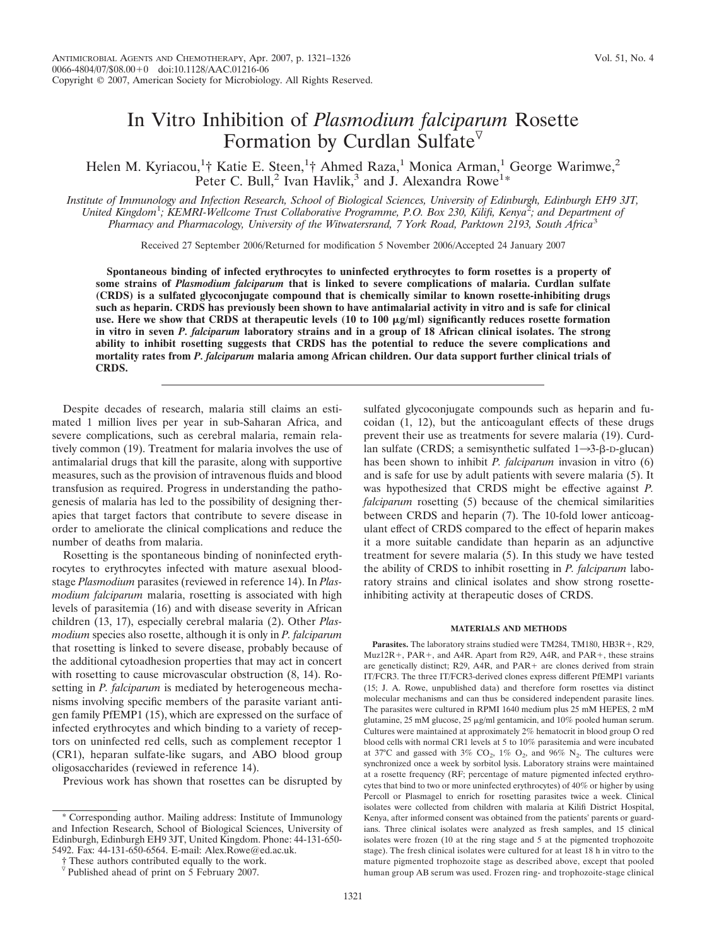# In Vitro Inhibition of *Plasmodium falciparum* Rosette Formation by Curdlan Sulfate

Helen M. Kyriacou,<sup>1</sup>† Katie E. Steen,<sup>1</sup>† Ahmed Raza,<sup>1</sup> Monica Arman,<sup>1</sup> George Warimwe,<sup>2</sup> Peter C. Bull,<sup>2</sup> Ivan Havlik,<sup>3</sup> and J. Alexandra Rowe<sup>1\*</sup>

*Institute of Immunology and Infection Research, School of Biological Sciences, University of Edinburgh, Edinburgh EH9 3JT,* United Kingdom<sup>1</sup>; KEMRI-Wellcome Trust Collaborative Programme, P.O. Box 230, Kilifi, Kenya<sup>2</sup>; and Department of *Pharmacy and Pharmacology, University of the Witwatersrand, 7 York Road, Parktown 2193, South Africa*<sup>3</sup>

Received 27 September 2006/Returned for modification 5 November 2006/Accepted 24 January 2007

**Spontaneous binding of infected erythrocytes to uninfected erythrocytes to form rosettes is a property of some strains of** *Plasmodium falciparum* **that is linked to severe complications of malaria. Curdlan sulfate (CRDS) is a sulfated glycoconjugate compound that is chemically similar to known rosette-inhibiting drugs such as heparin. CRDS has previously been shown to have antimalarial activity in vitro and is safe for clinical** use. Here we show that CRDS at therapeutic levels  $(10 \text{ to } 100 \mu g/ml)$  significantly reduces rosette formation **in vitro in seven** *P. falciparum* **laboratory strains and in a group of 18 African clinical isolates. The strong ability to inhibit rosetting suggests that CRDS has the potential to reduce the severe complications and mortality rates from** *P. falciparum* **malaria among African children. Our data support further clinical trials of CRDS.**

Despite decades of research, malaria still claims an estimated 1 million lives per year in sub-Saharan Africa, and severe complications, such as cerebral malaria, remain relatively common (19). Treatment for malaria involves the use of antimalarial drugs that kill the parasite, along with supportive measures, such as the provision of intravenous fluids and blood transfusion as required. Progress in understanding the pathogenesis of malaria has led to the possibility of designing therapies that target factors that contribute to severe disease in order to ameliorate the clinical complications and reduce the number of deaths from malaria.

Rosetting is the spontaneous binding of noninfected erythrocytes to erythrocytes infected with mature asexual bloodstage *Plasmodium* parasites (reviewed in reference 14). In *Plasmodium falciparum* malaria, rosetting is associated with high levels of parasitemia (16) and with disease severity in African children (13, 17), especially cerebral malaria (2). Other *Plasmodium* species also rosette, although it is only in *P. falciparum* that rosetting is linked to severe disease, probably because of the additional cytoadhesion properties that may act in concert with rosetting to cause microvascular obstruction  $(8, 14)$ . Rosetting in *P. falciparum* is mediated by heterogeneous mechanisms involving specific members of the parasite variant antigen family PfEMP1 (15), which are expressed on the surface of infected erythrocytes and which binding to a variety of receptors on uninfected red cells, such as complement receptor 1 (CR1), heparan sulfate-like sugars, and ABO blood group oligosaccharides (reviewed in reference 14).

Previous work has shown that rosettes can be disrupted by

sulfated glycoconjugate compounds such as heparin and fucoidan (1, 12), but the anticoagulant effects of these drugs prevent their use as treatments for severe malaria (19). Curdlan sulfate (CRDS; a semisynthetic sulfated  $1 \rightarrow 3$ - $\beta$ -D-glucan) has been shown to inhibit *P. falciparum* invasion in vitro (6) and is safe for use by adult patients with severe malaria (5). It was hypothesized that CRDS might be effective against *P. falciparum* rosetting (5) because of the chemical similarities between CRDS and heparin (7). The 10-fold lower anticoagulant effect of CRDS compared to the effect of heparin makes it a more suitable candidate than heparin as an adjunctive treatment for severe malaria (5). In this study we have tested the ability of CRDS to inhibit rosetting in *P. falciparum* laboratory strains and clinical isolates and show strong rosetteinhibiting activity at therapeutic doses of CRDS.

## **MATERIALS AND METHODS**

Parasites. The laboratory strains studied were TM284, TM180, HB3R+, R29, Muz12R+, PAR+, and A4R. Apart from R29, A4R, and PAR+, these strains are genetically distinct; R29, A4R, and PAR + are clones derived from strain IT/FCR3. The three IT/FCR3-derived clones express different PfEMP1 variants (15; J. A. Rowe, unpublished data) and therefore form rosettes via distinct molecular mechanisms and can thus be considered independent parasite lines. The parasites were cultured in RPMI 1640 medium plus 25 mM HEPES, 2 mM glutamine, 25 mM glucose, 25  $\mu$ g/ml gentamicin, and 10% pooled human serum. Cultures were maintained at approximately 2% hematocrit in blood group O red blood cells with normal CR1 levels at 5 to 10% parasitemia and were incubated at 37°C and gassed with 3%  $CO_2$ , 1%  $O_2$ , and 96%  $N_2$ . The cultures were synchronized once a week by sorbitol lysis. Laboratory strains were maintained at a rosette frequency (RF; percentage of mature pigmented infected erythrocytes that bind to two or more uninfected erythrocytes) of 40% or higher by using Percoll or Plasmagel to enrich for rosetting parasites twice a week. Clinical isolates were collected from children with malaria at Kilifi District Hospital, Kenya, after informed consent was obtained from the patients' parents or guardians. Three clinical isolates were analyzed as fresh samples, and 15 clinical isolates were frozen (10 at the ring stage and 5 at the pigmented trophozoite stage). The fresh clinical isolates were cultured for at least 18 h in vitro to the mature pigmented trophozoite stage as described above, except that pooled human group AB serum was used. Frozen ring- and trophozoite-stage clinical

<sup>\*</sup> Corresponding author. Mailing address: Institute of Immunology and Infection Research, School of Biological Sciences, University of Edinburgh, Edinburgh EH9 3JT, United Kingdom. Phone: 44-131-650- 5492. Fax: 44-131-650-6564. E-mail: Alex.Rowe@ed.ac.uk.

<sup>†</sup> These authors contributed equally to the work.

 $\overline{v}$  Published ahead of print on 5 February 2007.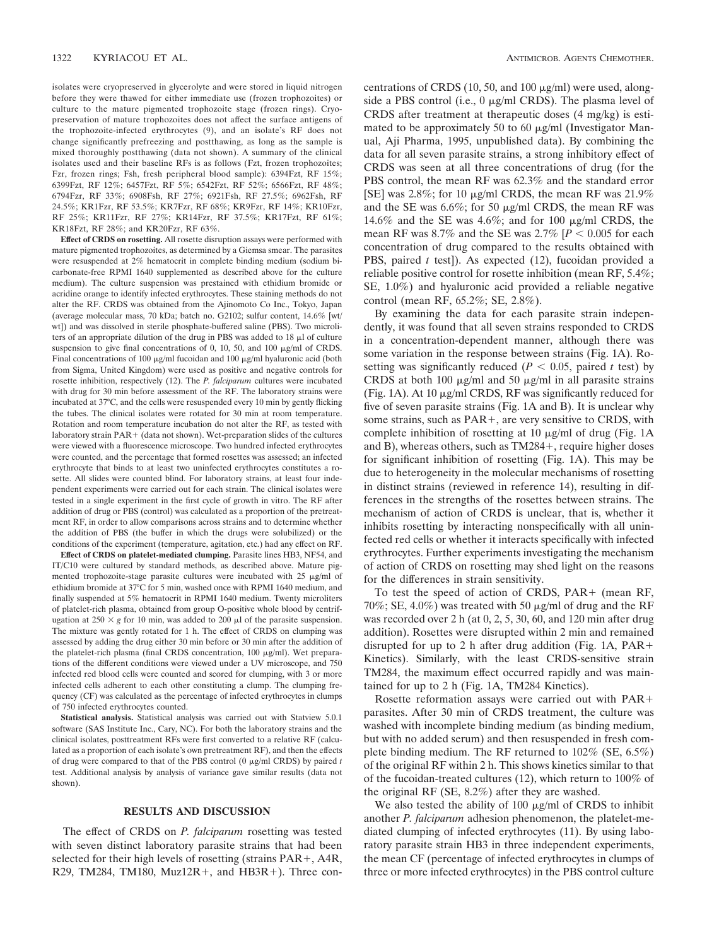isolates were cryopreserved in glycerolyte and were stored in liquid nitrogen before they were thawed for either immediate use (frozen trophozoites) or culture to the mature pigmented trophozoite stage (frozen rings). Cryopreservation of mature trophozoites does not affect the surface antigens of the trophozoite-infected erythrocytes (9), and an isolate's RF does not change significantly prefreezing and postthawing, as long as the sample is mixed thoroughly postthawing (data not shown). A summary of the clinical isolates used and their baseline RFs is as follows (Fzt, frozen trophozoites; Fzr, frozen rings; Fsh, fresh peripheral blood sample): 6394Fzt, RF 15%; 6399Fzt, RF 12%; 6457Fzt, RF 5%; 6542Fzt, RF 52%; 6566Fzt, RF 48%; 6794Fzr, RF 33%; 6908Fsh, RF 27%; 6921Fsh, RF 27.5%; 6962Fsh, RF 24.5%; KR1Fzr, RF 53.5%; KR7Fzr, RF 68%; KR9Fzr, RF 14%; KR10Fzr, RF 25%; KR11Fzr, RF 27%; KR14Fzr, RF 37.5%; KR17Fzt, RF 61%; KR18Fzt, RF 28%; and KR20Fzr, RF 63%.

**Effect of CRDS on rosetting.** All rosette disruption assays were performed with mature pigmented trophozoites, as determined by a Giemsa smear. The parasites were resuspended at 2% hematocrit in complete binding medium (sodium bicarbonate-free RPMI 1640 supplemented as described above for the culture medium). The culture suspension was prestained with ethidium bromide or acridine orange to identify infected erythrocytes. These staining methods do not alter the RF. CRDS was obtained from the Ajinomoto Co Inc., Tokyo, Japan (average molecular mass, 70 kDa; batch no. G2102; sulfur content, 14.6% [wt/ wt]) and was dissolved in sterile phosphate-buffered saline (PBS). Two microliters of an appropriate dilution of the drug in PBS was added to  $18 \mu$  of culture suspension to give final concentrations of 0, 10, 50, and 100  $\mu$ g/ml of CRDS. Final concentrations of 100  $\mu$ g/ml fucoidan and 100  $\mu$ g/ml hyaluronic acid (both from Sigma, United Kingdom) were used as positive and negative controls for rosette inhibition, respectively (12). The *P. falciparum* cultures were incubated with drug for 30 min before assessment of the RF. The laboratory strains were incubated at 37°C, and the cells were resuspended every 10 min by gently flicking the tubes. The clinical isolates were rotated for 30 min at room temperature. Rotation and room temperature incubation do not alter the RF, as tested with laboratory strain  $PAR + (data not shown)$ . Wet-preparation slides of the cultures were viewed with a fluorescence microscope. Two hundred infected erythrocytes were counted, and the percentage that formed rosettes was assessed; an infected erythrocyte that binds to at least two uninfected erythrocytes constitutes a rosette. All slides were counted blind. For laboratory strains, at least four independent experiments were carried out for each strain. The clinical isolates were tested in a single experiment in the first cycle of growth in vitro. The RF after addition of drug or PBS (control) was calculated as a proportion of the pretreatment RF, in order to allow comparisons across strains and to determine whether the addition of PBS (the buffer in which the drugs were solubilized) or the conditions of the experiment (temperature, agitation, etc.) had any effect on RF.

**Effect of CRDS on platelet-mediated clumping.** Parasite lines HB3, NF54, and IT/C10 were cultured by standard methods, as described above. Mature pigmented trophozoite-stage parasite cultures were incubated with  $25 \mu g/ml$  of ethidium bromide at 37°C for 5 min, washed once with RPMI 1640 medium, and finally suspended at 5% hematocrit in RPMI 1640 medium. Twenty microliters of platelet-rich plasma, obtained from group O-positive whole blood by centrifugation at  $250 \times g$  for 10 min, was added to 200  $\mu$ l of the parasite suspension. The mixture was gently rotated for 1 h. The effect of CRDS on clumping was assessed by adding the drug either 30 min before or 30 min after the addition of the platelet-rich plasma (final CRDS concentration,  $100 \mu g/ml$ ). Wet preparations of the different conditions were viewed under a UV microscope, and 750 infected red blood cells were counted and scored for clumping, with 3 or more infected cells adherent to each other constituting a clump. The clumping frequency (CF) was calculated as the percentage of infected erythrocytes in clumps of 750 infected erythrocytes counted.

**Statistical analysis.** Statistical analysis was carried out with Statview 5.0.1 software (SAS Institute Inc., Cary, NC). For both the laboratory strains and the clinical isolates, posttreatment RFs were first converted to a relative RF (calculated as a proportion of each isolate's own pretreatment RF), and then the effects of drug were compared to that of the PBS control (0  $\mu$ g/ml CRDS) by paired *t* test. Additional analysis by analysis of variance gave similar results (data not shown).

## **RESULTS AND DISCUSSION**

The effect of CRDS on *P. falciparum* rosetting was tested with seven distinct laboratory parasite strains that had been selected for their high levels of rosetting (strains  $PAR+$ ,  $A4R$ , R29, TM284, TM180, Muz12R+, and HB3R+). Three concentrations of CRDS (10, 50, and 100  $\mu$ g/ml) were used, alongside a PBS control (i.e.,  $0 \mu g/ml$  CRDS). The plasma level of CRDS after treatment at therapeutic doses (4 mg/kg) is estimated to be approximately 50 to 60  $\mu$ g/ml (Investigator Manual, Aji Pharma, 1995, unpublished data). By combining the data for all seven parasite strains, a strong inhibitory effect of CRDS was seen at all three concentrations of drug (for the PBS control, the mean RF was 62.3% and the standard error [SE] was 2.8%; for 10  $\mu$ g/ml CRDS, the mean RF was 21.9% and the SE was  $6.6\%$ ; for 50  $\mu$ g/ml CRDS, the mean RF was 14.6% and the SE was 4.6%; and for 100  $\mu$ g/ml CRDS, the mean RF was  $8.7\%$  and the SE was  $2.7\%$  [ $P < 0.005$  for each concentration of drug compared to the results obtained with PBS, paired *t* test]). As expected (12), fucoidan provided a reliable positive control for rosette inhibition (mean RF, 5.4%; SE, 1.0%) and hyaluronic acid provided a reliable negative control (mean RF, 65.2%; SE, 2.8%).

By examining the data for each parasite strain independently, it was found that all seven strains responded to CRDS in a concentration-dependent manner, although there was some variation in the response between strains (Fig. 1A). Rosetting was significantly reduced ( $P < 0.05$ , paired *t* test) by CRDS at both 100  $\mu$ g/ml and 50  $\mu$ g/ml in all parasite strains (Fig. 1A). At 10  $\mu$ g/ml CRDS, RF was significantly reduced for five of seven parasite strains (Fig. 1A and B). It is unclear why some strains, such as  $PAR+$ , are very sensitive to CRDS, with complete inhibition of rosetting at 10  $\mu$ g/ml of drug (Fig. 1A and B), whereas others, such as  $TM284+$ , require higher doses for significant inhibition of rosetting (Fig. 1A). This may be due to heterogeneity in the molecular mechanisms of rosetting in distinct strains (reviewed in reference 14), resulting in differences in the strengths of the rosettes between strains. The mechanism of action of CRDS is unclear, that is, whether it inhibits rosetting by interacting nonspecifically with all uninfected red cells or whether it interacts specifically with infected erythrocytes. Further experiments investigating the mechanism of action of CRDS on rosetting may shed light on the reasons for the differences in strain sensitivity.

To test the speed of action of CRDS, PAR + (mean RF, 70%; SE, 4.0%) was treated with 50  $\mu$ g/ml of drug and the RF was recorded over 2 h (at 0, 2, 5, 30, 60, and 120 min after drug addition). Rosettes were disrupted within 2 min and remained disrupted for up to 2 h after drug addition (Fig. 1A, PAR Kinetics). Similarly, with the least CRDS-sensitive strain TM284, the maximum effect occurred rapidly and was maintained for up to 2 h (Fig. 1A, TM284 Kinetics).

Rosette reformation assays were carried out with PAR parasites. After 30 min of CRDS treatment, the culture was washed with incomplete binding medium (as binding medium, but with no added serum) and then resuspended in fresh complete binding medium. The RF returned to 102% (SE, 6.5%) of the original RF within 2 h. This shows kinetics similar to that of the fucoidan-treated cultures (12), which return to 100% of the original RF (SE, 8.2%) after they are washed.

We also tested the ability of  $100 \mu g/ml$  of CRDS to inhibit another *P. falciparum* adhesion phenomenon, the platelet-mediated clumping of infected erythrocytes (11). By using laboratory parasite strain HB3 in three independent experiments, the mean CF (percentage of infected erythrocytes in clumps of three or more infected erythrocytes) in the PBS control culture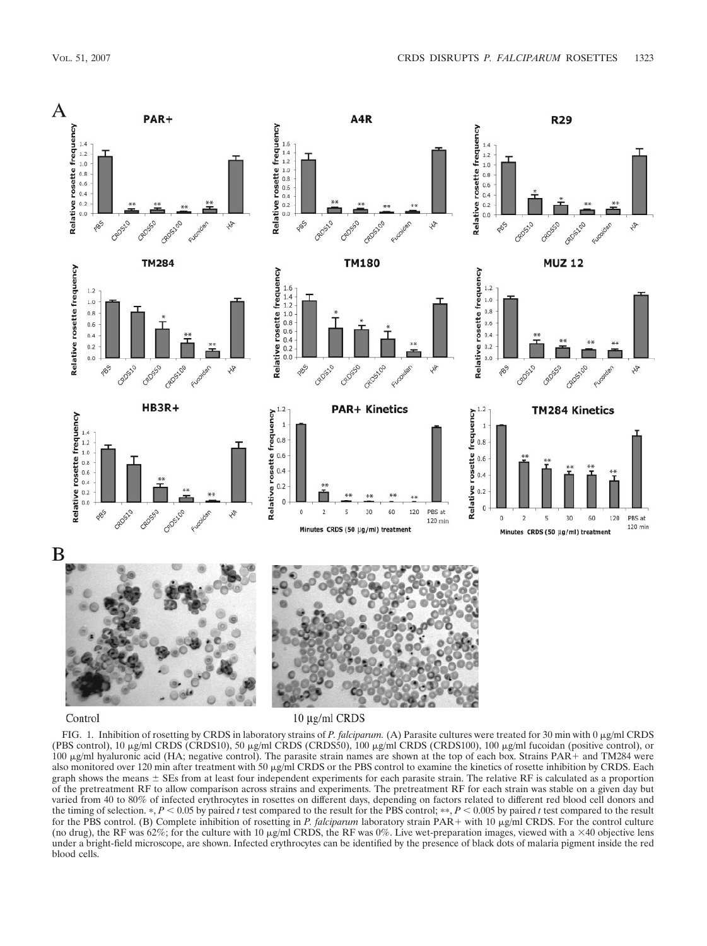

### Control

10 μg/ml CRDS

FIG. 1. Inhibition of rosetting by CRDS in laboratory strains of *P. falciparum.* (A) Parasite cultures were treated for 30 min with 0  $\mu$ g/ml CRDS (PBS control), 10  $\mu$ g/ml CRDS (CRDS10), 50  $\mu$ g/ml CRDS (CRDS50), 100  $\mu$ g/ml CRDS (CRDS100), 100  $\mu$ g/ml fucoidan (positive control), or 100  $\mu$ g/ml hyaluronic acid (HA; negative control). The parasite strain names are shown at the top of each box. Strains PAR + and TM284 were also monitored over 120 min after treatment with 50 µg/ml CRDS or the PBS control to examine the kinetics of rosette inhibition by CRDS. Each graph shows the means  $\pm$  SEs from at least four independent experiments for each parasite strain. The relative RF is calculated as a proportion of the pretreatment RF to allow comparison across strains and experiments. The pretreatment RF for each strain was stable on a given day but varied from 40 to 80% of infected erythrocytes in rosettes on different days, depending on factors related to different red blood cell donors and the timing of selection. \*,  $P < 0.05$  by paired *t* test compared to the result for the PBS control; \*\*,  $P < 0.005$  by paired *t* test compared to the result for the PBS control. (B) Complete inhibition of rosetting in *P. falciparum* laboratory strain PAR + with 10  $\mu$ g/ml CRDS. For the control culture (no drug), the RF was 62%; for the culture with 10  $\mu$ g/ml CRDS, the RF was 0%. Live wet-preparation images, viewed with a  $\times$ 40 objective lens under a bright-field microscope, are shown. Infected erythrocytes can be identified by the presence of black dots of malaria pigment inside the red blood cells.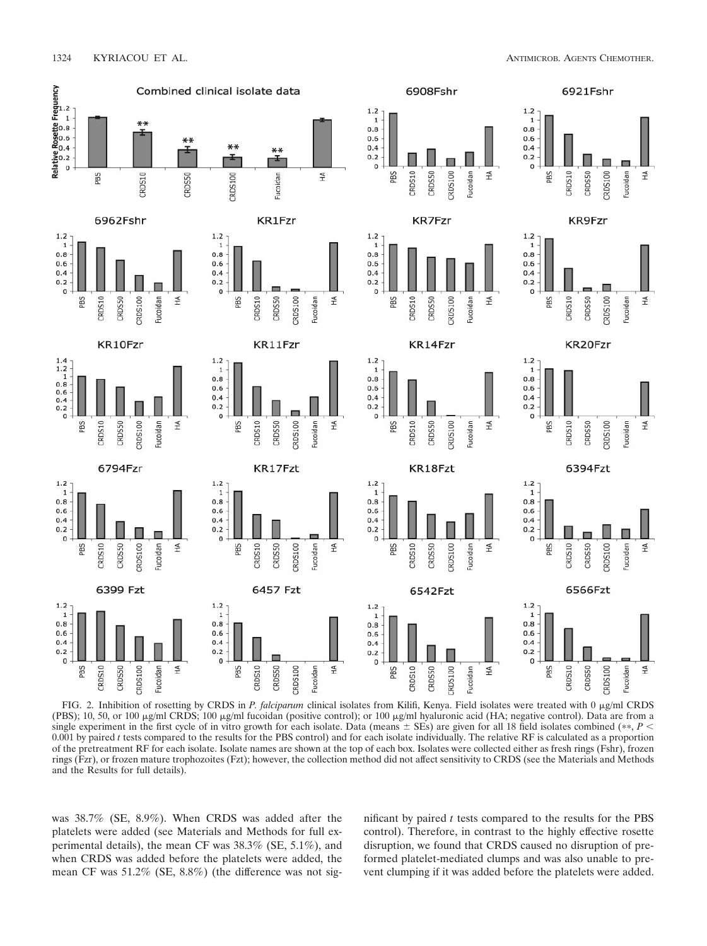

FIG. 2. Inhibition of rosetting by CRDS in *P. falciparum* clinical isolates from Kilifi, Kenya. Field isolates were treated with 0 µg/ml CRDS (PBS); 10, 50, or 100  $\mu$ g/ml CRDS; 100  $\mu$ g/ml fucoidan (positive control); or 100  $\mu$ g/ml hyaluronic acid (HA; negative control). Data are from a single experiment in the first cycle of in vitro growth for each isolate. Data (means  $\pm$  SEs) are given for all 18 field isolates combined (\*\*, P <  $0.001$  by paired  $t$  tests compared to the results for the PBS control) and for each isolate individually. The relative RF is calculated as a proportion of the pretreatment RF for each isolate. Isolate names are shown at the top of each box. Isolates were collected either as fresh rings (Fshr), frozen rings (Fzr), or frozen mature trophozoites (Fzt); however, the collection method did not affect sensitivity to CRDS (see the Materials and Methods and the Results for full details).

was 38.7% (SE, 8.9%). When CRDS was added after the platelets were added (see Materials and Methods for full experimental details), the mean CF was 38.3% (SE, 5.1%), and when CRDS was added before the platelets were added, the mean CF was 51.2% (SE, 8.8%) (the difference was not significant by paired *t* tests compared to the results for the PBS control). Therefore, in contrast to the highly effective rosette disruption, we found that CRDS caused no disruption of preformed platelet-mediated clumps and was also unable to prevent clumping if it was added before the platelets were added.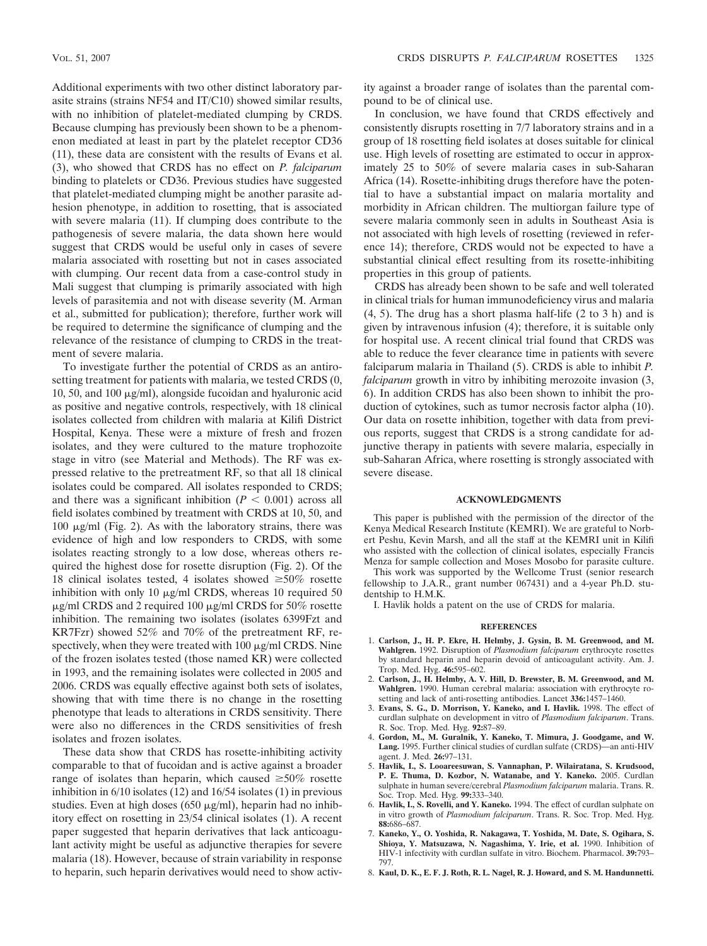Additional experiments with two other distinct laboratory parasite strains (strains NF54 and IT/C10) showed similar results, with no inhibition of platelet-mediated clumping by CRDS. Because clumping has previously been shown to be a phenomenon mediated at least in part by the platelet receptor CD36 (11), these data are consistent with the results of Evans et al. (3), who showed that CRDS has no effect on *P. falciparum* binding to platelets or CD36. Previous studies have suggested that platelet-mediated clumping might be another parasite adhesion phenotype, in addition to rosetting, that is associated with severe malaria (11). If clumping does contribute to the pathogenesis of severe malaria, the data shown here would suggest that CRDS would be useful only in cases of severe malaria associated with rosetting but not in cases associated with clumping. Our recent data from a case-control study in Mali suggest that clumping is primarily associated with high levels of parasitemia and not with disease severity (M. Arman et al., submitted for publication); therefore, further work will be required to determine the significance of clumping and the relevance of the resistance of clumping to CRDS in the treatment of severe malaria.

To investigate further the potential of CRDS as an antirosetting treatment for patients with malaria, we tested CRDS (0, 10, 50, and 100  $\mu$ g/ml), alongside fucoidan and hyaluronic acid as positive and negative controls, respectively, with 18 clinical isolates collected from children with malaria at Kilifi District Hospital, Kenya. These were a mixture of fresh and frozen isolates, and they were cultured to the mature trophozoite stage in vitro (see Material and Methods). The RF was expressed relative to the pretreatment RF, so that all 18 clinical isolates could be compared. All isolates responded to CRDS; and there was a significant inhibition  $(P < 0.001)$  across all field isolates combined by treatment with CRDS at 10, 50, and 100  $\mu$ g/ml (Fig. 2). As with the laboratory strains, there was evidence of high and low responders to CRDS, with some isolates reacting strongly to a low dose, whereas others required the highest dose for rosette disruption (Fig. 2). Of the 18 clinical isolates tested, 4 isolates showed  $\geq 50\%$  rosette inhibition with only 10  $\mu$ g/ml CRDS, whereas 10 required 50  $\mu$ g/ml CRDS and 2 required 100  $\mu$ g/ml CRDS for 50% rosette inhibition. The remaining two isolates (isolates 6399Fzt and KR7Fzr) showed 52% and 70% of the pretreatment RF, respectively, when they were treated with  $100 \mu g/ml$  CRDS. Nine of the frozen isolates tested (those named KR) were collected in 1993, and the remaining isolates were collected in 2005 and 2006. CRDS was equally effective against both sets of isolates, showing that with time there is no change in the rosetting phenotype that leads to alterations in CRDS sensitivity. There were also no differences in the CRDS sensitivities of fresh isolates and frozen isolates.

These data show that CRDS has rosette-inhibiting activity comparable to that of fucoidan and is active against a broader range of isolates than heparin, which caused  $\geq 50\%$  rosette inhibition in 6/10 isolates (12) and 16/54 isolates (1) in previous studies. Even at high doses (650  $\mu$ g/ml), heparin had no inhibitory effect on rosetting in 23/54 clinical isolates (1). A recent paper suggested that heparin derivatives that lack anticoagulant activity might be useful as adjunctive therapies for severe malaria (18). However, because of strain variability in response to heparin, such heparin derivatives would need to show activity against a broader range of isolates than the parental compound to be of clinical use.

In conclusion, we have found that CRDS effectively and consistently disrupts rosetting in 7/7 laboratory strains and in a group of 18 rosetting field isolates at doses suitable for clinical use. High levels of rosetting are estimated to occur in approximately 25 to 50% of severe malaria cases in sub-Saharan Africa (14). Rosette-inhibiting drugs therefore have the potential to have a substantial impact on malaria mortality and morbidity in African children. The multiorgan failure type of severe malaria commonly seen in adults in Southeast Asia is not associated with high levels of rosetting (reviewed in reference 14); therefore, CRDS would not be expected to have a substantial clinical effect resulting from its rosette-inhibiting properties in this group of patients.

CRDS has already been shown to be safe and well tolerated in clinical trials for human immunodeficiency virus and malaria (4, 5). The drug has a short plasma half-life (2 to 3 h) and is given by intravenous infusion (4); therefore, it is suitable only for hospital use. A recent clinical trial found that CRDS was able to reduce the fever clearance time in patients with severe falciparum malaria in Thailand (5). CRDS is able to inhibit *P. falciparum* growth in vitro by inhibiting merozoite invasion (3, 6). In addition CRDS has also been shown to inhibit the production of cytokines, such as tumor necrosis factor alpha (10). Our data on rosette inhibition, together with data from previous reports, suggest that CRDS is a strong candidate for adjunctive therapy in patients with severe malaria, especially in sub-Saharan Africa, where rosetting is strongly associated with severe disease.

## **ACKNOWLEDGMENTS**

This paper is published with the permission of the director of the Kenya Medical Research Institute (KEMRI). We are grateful to Norbert Peshu, Kevin Marsh, and all the staff at the KEMRI unit in Kilifi who assisted with the collection of clinical isolates, especially Francis Menza for sample collection and Moses Mosobo for parasite culture. This work was supported by the Wellcome Trust (senior research fellowship to J.A.R., grant number 067431) and a 4-year Ph.D. studentship to H.M.K.

I. Havlik holds a patent on the use of CRDS for malaria.

#### **REFERENCES**

- 1. **Carlson, J., H. P. Ekre, H. Helmby, J. Gysin, B. M. Greenwood, and M. Wahlgren.** 1992. Disruption of *Plasmodium falciparum* erythrocyte rosettes by standard heparin and heparin devoid of anticoagulant activity. Am. J. Trop. Med. Hyg. **46:**595–602.
- 2. **Carlson, J., H. Helmby, A. V. Hill, D. Brewster, B. M. Greenwood, and M. Wahlgren.** 1990. Human cerebral malaria: association with erythrocyte rosetting and lack of anti-rosetting antibodies. Lancet **336:**1457–1460.
- 3. **Evans, S. G., D. Morrison, Y. Kaneko, and I. Havlik.** 1998. The effect of curdlan sulphate on development in vitro of *Plasmodium falciparum*. Trans. R. Soc. Trop. Med. Hyg. **92:**87–89.
- 4. **Gordon, M., M. Guralnik, Y. Kaneko, T. Mimura, J. Goodgame, and W. Lang.** 1995. Further clinical studies of curdlan sulfate (CRDS)—an anti-HIV agent. J. Med. **26:**97–131.
- 5. **Havlik, I., S. Looareesuwan, S. Vannaphan, P. Wilairatana, S. Krudsood, P. E. Thuma, D. Kozbor, N. Watanabe, and Y. Kaneko.** 2005. Curdlan sulphate in human severe/cerebral *Plasmodium falciparum* malaria. Trans. R. Soc. Trop. Med. Hyg. **99:**333–340.
- 6. **Havlik, I., S. Rovelli, and Y. Kaneko.** 1994. The effect of curdlan sulphate on in vitro growth of *Plasmodium falciparum*. Trans. R. Soc. Trop. Med. Hyg. **88:**686–687.
- 7. **Kaneko, Y., O. Yoshida, R. Nakagawa, T. Yoshida, M. Date, S. Ogihara, S. Shioya, Y. Matsuzawa, N. Nagashima, Y. Irie, et al.** 1990. Inhibition of HIV-1 infectivity with curdlan sulfate in vitro. Biochem. Pharmacol. **39:**793– 797.
- 8. **Kaul, D. K., E. F. J. Roth, R. L. Nagel, R. J. Howard, and S. M. Handunnetti.**